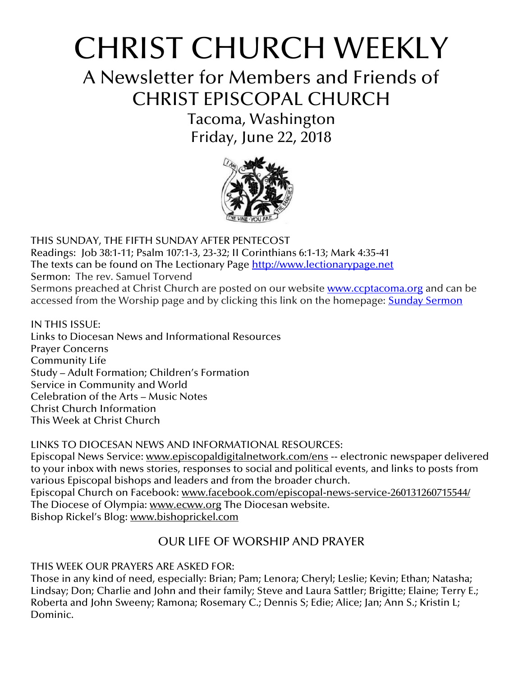# CHRIST CHURCH WEEKLY

A Newsletter for Members and Friends of CHRIST EPISCOPAL CHURCH

> Tacoma, Washington Friday, June 22, 2018



THIS SUNDAY, THE FIFTH SUNDAY AFTER PENTECOST Readings: Job 38:1-11; Psalm 107:1-3, 23-32; II Corinthians 6:1-13; Mark 4:35-41 The texts can be found on The Lectionary Page [http://www.lectionarypage.net](http://www.lectionarypage.net/) Sermon: The rev. Samuel Torvend Sermons preached at Christ Church are posted on our website **[www.ccptacoma.org](http://www.ccptacoma.org/)** and can be accessed from the Worship page and by clicking this link on the homepage: Sunday [Sermon](http://www.ccptacoma.org/article/43/worship/sermons)

IN THIS ISSUE: Links to Diocesan News and Informational Resources Prayer Concerns Community Life Study – Adult Formation; Children's Formation Service in Community and World Celebration of the Arts – Music Notes Christ Church Information This Week at Christ Church

LINKS TO DIOCESAN NEWS AND INFORMATIONAL RESOURCES:

Episcopal News Service: [www.episcopaldigitalnetwork.com/ens](http://www.episcopaldigitalnetwork.com/ens) -- electronic newspaper delivered to your inbox with news stories, responses to social and political events, and links to posts from various Episcopal bishops and leaders and from the broader church. Episcopal Church on Facebook: [www.facebook.com/episcopal-news-service-260131260715544/](http://www.facebook.com/episcopal-news-service-260131260715544/) The Diocese of Olympia: [www.ecww.org](http://www.ecww.org/) The Diocesan website. Bishop Rickel's Blog: [www.bishoprickel.com](http://www.bishoprickel.com/)

# OUR LIFE OF WORSHIP AND PRAYER

THIS WEEK OUR PRAYERS ARE ASKED FOR:

Those in any kind of need, especially: Brian; Pam; Lenora; Cheryl; Leslie; Kevin; Ethan; Natasha; Lindsay; Don; Charlie and John and their family; Steve and Laura Sattler; Brigitte; Elaine; Terry E.; Roberta and John Sweeny; Ramona; Rosemary C.; Dennis S; Edie; Alice; Jan; Ann S.; Kristin L; Dominic.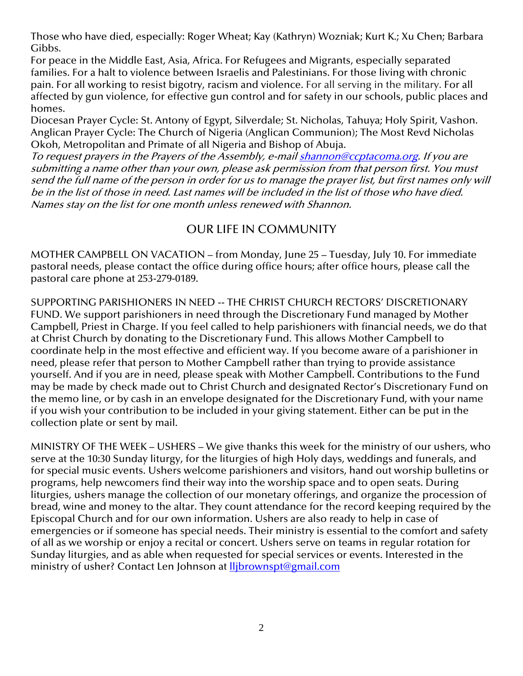Those who have died, especially: Roger Wheat; Kay (Kathryn) Wozniak; Kurt K.; Xu Chen; Barbara Gibbs.

For peace in the Middle East, Asia, Africa. For Refugees and Migrants, especially separated families. For a halt to violence between Israelis and Palestinians. For those living with chronic pain. For all working to resist bigotry, racism and violence. For all serving in the military. For all affected by gun violence, for effective gun control and for safety in our schools, public places and homes.

Diocesan Prayer Cycle: St. Antony of Egypt, Silverdale; St. Nicholas, Tahuya; Holy Spirit, Vashon. Anglican Prayer Cycle: The Church of Nigeria (Anglican Communion); The Most Revd Nicholas Okoh, Metropolitan and Primate of all Nigeria and Bishop of Abuja.

To request prayers in the Prayers of the Assembly, e-mai[l shannon@ccptacoma.org.](mailto:shannon@ccptacoma.org) If you are submitting a name other than your own, please ask permission from that person first. You must send the full name of the person in order for us to manage the prayer list, but first names only will be in the list of those in need. Last names will be included in the list of those who have died. Names stay on the list for one month unless renewed with Shannon.

## OUR LIFE IN COMMUNITY

MOTHER CAMPBELL ON VACATION – from Monday, June 25 – Tuesday, July 10. For immediate pastoral needs, please contact the office during office hours; after office hours, please call the pastoral care phone at 253-279-0189.

SUPPORTING PARISHIONERS IN NEED -- THE CHRIST CHURCH RECTORS' DISCRETIONARY FUND. We support parishioners in need through the Discretionary Fund managed by Mother Campbell, Priest in Charge. If you feel called to help parishioners with financial needs, we do that at Christ Church by donating to the Discretionary Fund. This allows Mother Campbell to coordinate help in the most effective and efficient way. If you become aware of a parishioner in need, please refer that person to Mother Campbell rather than trying to provide assistance yourself. And if you are in need, please speak with Mother Campbell. Contributions to the Fund may be made by check made out to Christ Church and designated Rector's Discretionary Fund on the memo line, or by cash in an envelope designated for the Discretionary Fund, with your name if you wish your contribution to be included in your giving statement. Either can be put in the collection plate or sent by mail.

MINISTRY OF THE WEEK – USHERS – We give thanks this week for the ministry of our ushers, who serve at the 10:30 Sunday liturgy, for the liturgies of high Holy days, weddings and funerals, and for special music events. Ushers welcome parishioners and visitors, hand out worship bulletins or programs, help newcomers find their way into the worship space and to open seats. During liturgies, ushers manage the collection of our monetary offerings, and organize the procession of bread, wine and money to the altar. They count attendance for the record keeping required by the Episcopal Church and for our own information. Ushers are also ready to help in case of emergencies or if someone has special needs. Their ministry is essential to the comfort and safety of all as we worship or enjoy a recital or concert. Ushers serve on teams in regular rotation for Sunday liturgies, and as able when requested for special services or events. Interested in the ministry of usher? Contact Len Johnson at **Iljbrownspt@gmail.com**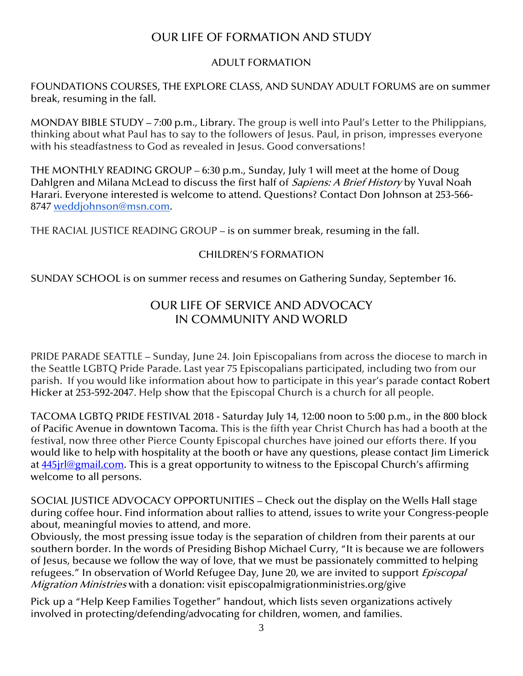## OUR LIFE OF FORMATION AND STUDY

### ADULT FORMATION

FOUNDATIONS COURSES, THE EXPLORE CLASS, AND SUNDAY ADULT FORUMS are on summer break, resuming in the fall.

MONDAY BIBLE STUDY – 7:00 p.m., Library. The group is well into Paul's Letter to the Philippians, thinking about what Paul has to say to the followers of Jesus. Paul, in prison, impresses everyone with his steadfastness to God as revealed in Jesus. Good conversations!

THE MONTHLY READING GROUP – 6:30 p.m., Sunday, July 1 will meet at the home of Doug Dahlgren and Milana McLead to discuss the first half of *Sapiens: A Brief History* by Yuval Noah Harari. Everyone interested is welcome to attend. Questions? Contact Don Johnson at 253-566- 8747 [weddjohnson@msn.com.](mailto:weddjohnson@msn.com)

THE RACIAL JUSTICE READING GROUP – is on summer break, resuming in the fall.

### CHILDREN'S FORMATION

SUNDAY SCHOOL is on summer recess and resumes on Gathering Sunday, September 16.

## OUR LIFE OF SERVICE AND ADVOCACY IN COMMUNITY AND WORLD

PRIDE PARADE SEATTLE – Sunday, June 24. Join Episcopalians from across the diocese to march in the Seattle LGBTQ Pride Parade. Last year 75 Episcopalians participated, including two from our parish. If you would like information about how to participate in this year's parade contact Robert Hicker at 253-592-2047. Help show that the Episcopal Church is a church for all people.

TACOMA LGBTQ PRIDE FESTIVAL 2018 - Saturday July 14, 12:00 noon to 5:00 p.m., in the 800 block of Pacific Avenue in downtown Tacoma. This is the fifth year Christ Church has had a booth at the festival, now three other Pierce County Episcopal churches have joined our efforts there. If you would like to help with hospitality at the booth or have any questions, please contact Jim Limerick at **445** in leging and all com. This is a great opportunity to witness to the Episcopal Church's affirming welcome to all persons.

SOCIAL JUSTICE ADVOCACY OPPORTUNITIES – Check out the display on the Wells Hall stage during coffee hour. Find information about rallies to attend, issues to write your Congress-people about, meaningful movies to attend, and more.

Obviously, the most pressing issue today is the separation of children from their parents at our southern border. In the words of Presiding Bishop Michael Curry, "It is because we are followers of Jesus, because we follow the way of love, that we must be passionately committed to helping refugees." In observation of World Refugee Day, June 20, we are invited to support *Episcopal* Migration Ministries with a donation: visit episcopalmigrationministries.org/give

Pick up a "Help Keep Families Together" handout, which lists seven organizations actively involved in protecting/defending/advocating for children, women, and families.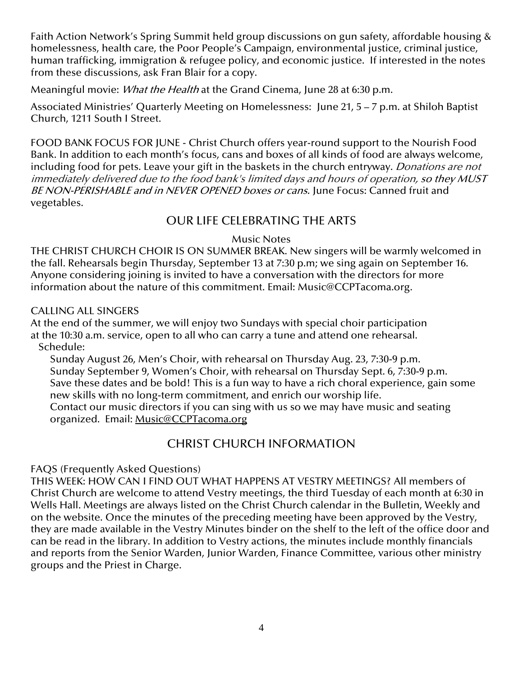Faith Action Network's Spring Summit held group discussions on gun safety, affordable housing & homelessness, health care, the Poor People's Campaign, environmental justice, criminal justice, human trafficking, immigration & refugee policy, and economic justice. If interested in the notes from these discussions, ask Fran Blair for a copy.

Meaningful movie: What the Health at the Grand Cinema, June 28 at 6:30 p.m.

Associated Ministries' Quarterly Meeting on Homelessness: June 21, 5 – 7 p.m. at Shiloh Baptist Church, 1211 South I Street.

FOOD BANK FOCUS FOR JUNE - Christ Church offers year-round support to the Nourish Food Bank. In addition to each month's focus, cans and boxes of all kinds of food are always welcome, including food for pets. Leave your gift in the baskets in the church entryway. *Donations are not* immediately delivered due to the food bank's limited days and hours of operation, so they MUST BE NON-PERISHABLE and in NEVER OPENED boxes or cans. June Focus: Canned fruit and vegetables.

## OUR LIFE CELEBRATING THE ARTS

#### Music Notes

THE CHRIST CHURCH CHOIR IS ON SUMMER BREAK. New singers will be warmly welcomed in the fall. Rehearsals begin Thursday, September 13 at 7:30 p.m; we sing again on September 16. Anyone considering joining is invited to have a conversation with the directors for more information about the nature of this commitment. Email: [Music@CCPTacoma.org.](mailto:Music@CCPTacoma.org)

## CALLING ALL SINGERS

At the end of the summer, we will enjoy two Sundays with special choir participation at the 10:30 a.m. service, open to all who can carry a tune and attend one rehearsal. Schedule:

Sunday August 26, Men's Choir, with rehearsal on Thursday Aug. 23, 7:30-9 p.m. Sunday September 9, Women's Choir, with rehearsal on Thursday Sept. 6, 7:30-9 p.m. Save these dates and be bold! This is a fun way to have a rich choral experience, gain some new skills with no long-term commitment, and enrich our worship life. Contact our music directors if you can sing with us so we may have music and seating

organized. Email: [Music@CCPTacoma.org](mailto:Music@CCPTacoma.org)

## CHRIST CHURCH INFORMATION

### FAQS (Frequently Asked Questions)

THIS WEEK: HOW CAN I FIND OUT WHAT HAPPENS AT VESTRY MEETINGS? All members of Christ Church are welcome to attend Vestry meetings, the third Tuesday of each month at 6:30 in Wells Hall. Meetings are always listed on the Christ Church calendar in the Bulletin, Weekly and on the website. Once the minutes of the preceding meeting have been approved by the Vestry, they are made available in the Vestry Minutes binder on the shelf to the left of the office door and can be read in the library. In addition to Vestry actions, the minutes include monthly financials and reports from the Senior Warden, Junior Warden, Finance Committee, various other ministry groups and the Priest in Charge.